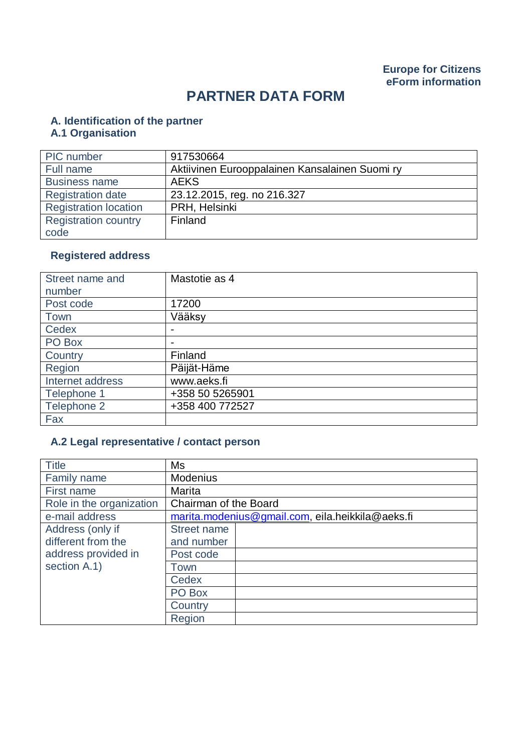# **PARTNER DATA FORM**

# **A. Identification of the partner**

#### **A.1 Organisation**

| PIC number                   | 917530664                                      |
|------------------------------|------------------------------------------------|
| Full name                    | Aktiivinen Eurooppalainen Kansalainen Suomi ry |
| <b>Business name</b>         | <b>AEKS</b>                                    |
| <b>Registration date</b>     | 23.12.2015, reg. no 216.327                    |
| <b>Registration location</b> | PRH, Helsinki                                  |
| <b>Registration country</b>  | Finland                                        |
| code                         |                                                |

# **Registered address**

| Street name and  | Mastotie as 4            |
|------------------|--------------------------|
| number           |                          |
| Post code        | 17200                    |
| Town             | Vääksy                   |
| Cedex            | $\overline{\phantom{0}}$ |
| PO Box           | $\overline{\phantom{a}}$ |
| Country          | Finland                  |
| Region           | Päijät-Häme              |
| Internet address | www.aeks.fi              |
| Telephone 1      | +358 50 5265901          |
| Telephone 2      | +358 400 772527          |
| Fax              |                          |

# **A.2 Legal representative / contact person**

| <b>Title</b>             | Ms                                               |  |  |
|--------------------------|--------------------------------------------------|--|--|
| Family name              | <b>Modenius</b>                                  |  |  |
| First name               | Marita                                           |  |  |
| Role in the organization | Chairman of the Board                            |  |  |
| e-mail address           | marita.modenius@gmail.com, eila.heikkila@aeks.fi |  |  |
| Address (only if         | <b>Street name</b>                               |  |  |
| different from the       | and number                                       |  |  |
| address provided in      | Post code                                        |  |  |
| section A.1)             | Town                                             |  |  |
|                          | Cedex                                            |  |  |
|                          | PO Box                                           |  |  |
|                          | Country                                          |  |  |
|                          | Region                                           |  |  |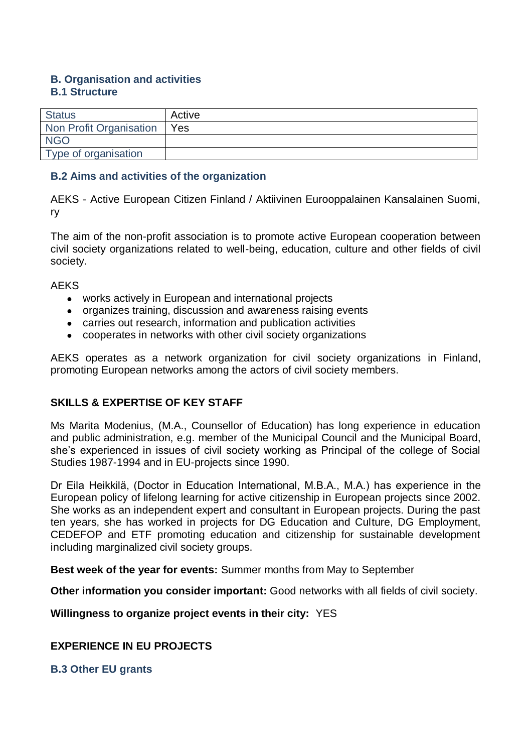#### **B. Organisation and activities B.1 Structure**

| <b>Status</b>           | Active      |
|-------------------------|-------------|
| Non Profit Organisation | $\vert$ Yes |
| <b>NGO</b>              |             |
| Type of organisation    |             |

### **B.2 Aims and activities of the organization**

AEKS - Active European Citizen Finland / Aktiivinen Eurooppalainen Kansalainen Suomi, ry

The aim of the non-profit association is to promote active European cooperation between civil society organizations related to well-being, education, culture and other fields of civil society.

**AEKS** 

- works actively in European and international projects
- organizes training, discussion and awareness raising events
- carries out research, information and publication activities
- cooperates in networks with other civil society organizations

AEKS operates as a network organization for civil society organizations in Finland, promoting European networks among the actors of civil society members.

## **SKILLS & EXPERTISE OF KEY STAFF**

Ms Marita Modenius, (M.A., Counsellor of Education) has long experience in education and public administration, e.g. member of the Municipal Council and the Municipal Board, she's experienced in issues of civil society working as Principal of the college of Social Studies 1987-1994 and in EU-projects since 1990.

Dr Eila Heikkilä, (Doctor in Education International, M.B.A., M.A.) has experience in the European policy of lifelong learning for active citizenship in European projects since 2002. She works as an independent expert and consultant in European projects. During the past ten years, she has worked in projects for DG Education and Culture, DG Employment, CEDEFOP and ETF promoting education and citizenship for sustainable development including marginalized civil society groups.

**Best week of the year for events:** Summer months from May to September

**Other information you consider important:** Good networks with all fields of civil society.

**Willingness to organize project events in their city:** YES

## **EXPERIENCE IN EU PROJECTS**

**B.3 Other EU grants**